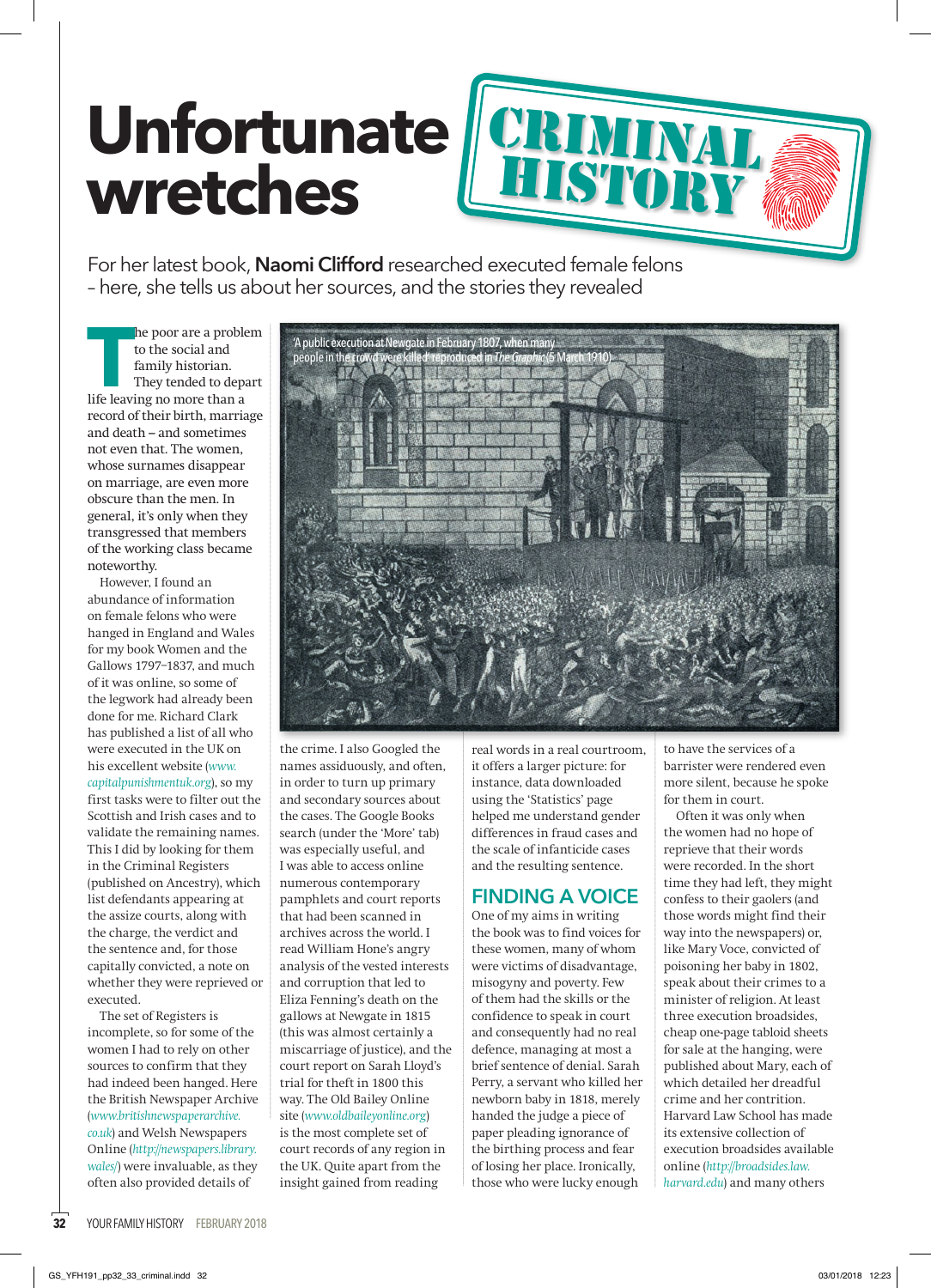## **Unfortunate wretches**

For her latest book, **Naomi Clifford** researched executed female felons – here, she tells us about her sources, and the stories they revealed

**T** life leaving no more than a he poor are a problem to the social and family historian. They tended to depart record of their birth, marriage and death – and sometimes not even that. The women, whose surnames disappear on marriage, are even more obscure than the men. In general, it's only when they transgressed that members of the working class became noteworthy.

However, I found an abundance of information on female felons who were hanged in England and Wales for my book Women and the Gallows 1797–1837, and much of it was online, so some of the legwork had already been done for me. Richard Clark has published a list of all who were executed in the UK on his excellent website (*www. capitalpunishmentuk.org*), so my first tasks were to filter out the Scottish and Irish cases and to validate the remaining names. This I did by looking for them in the Criminal Registers (published on Ancestry), which list defendants appearing at the assize courts, along with the charge, the verdict and the sentence and, for those capitally convicted, a note on whether they were reprieved or executed.

The set of Registers is incomplete, so for some of the women I had to rely on other sources to confirm that they had indeed been hanged. Here the British Newspaper Archive (*www.britishnewspaperarchive. co.uk*) and Welsh Newspapers Online (*http://newspapers.library. wales/*) were invaluable, as they often also provided details of



CRIMINAL

history

the crime. I also Googled the names assiduously, and often, in order to turn up primary and secondary sources about the cases. The Google Books search (under the 'More' tab) was especially useful, and I was able to access online numerous contemporary pamphlets and court reports that had been scanned in archives across the world. I read William Hone's angry analysis of the vested interests and corruption that led to Eliza Fenning's death on the gallows at Newgate in 1815 (this was almost certainly a miscarriage of justice), and the court report on Sarah Lloyd's trial for theft in 1800 this way. The Old Bailey Online site (*www.oldbaileyonline.org*) is the most complete set of court records of any region in the UK. Quite apart from the insight gained from reading

real words in a real courtroom, it offers a larger picture: for instance, data downloaded using the 'Statistics' page helped me understand gender differences in fraud cases and the scale of infanticide cases and the resulting sentence.

## **FINDING A VOICE**

One of my aims in writing the book was to find voices for these women, many of whom were victims of disadvantage, misogyny and poverty. Few of them had the skills or the confidence to speak in court and consequently had no real defence, managing at most a brief sentence of denial. Sarah Perry, a servant who killed her newborn baby in 1818, merely handed the judge a piece of paper pleading ignorance of the birthing process and fear of losing her place. Ironically, those who were lucky enough

to have the services of a barrister were rendered even more silent, because he spoke for them in court.

Often it was only when the women had no hope of reprieve that their words were recorded. In the short time they had left, they might confess to their gaolers (and those words might find their way into the newspapers) or, like Mary Voce, convicted of poisoning her baby in 1802, speak about their crimes to a minister of religion. At least three execution broadsides, cheap one-page tabloid sheets for sale at the hanging, were published about Mary, each of which detailed her dreadful crime and her contrition. Harvard Law School has made its extensive collection of execution broadsides available online (*http://broadsides.law. harvard.edu*) and many others